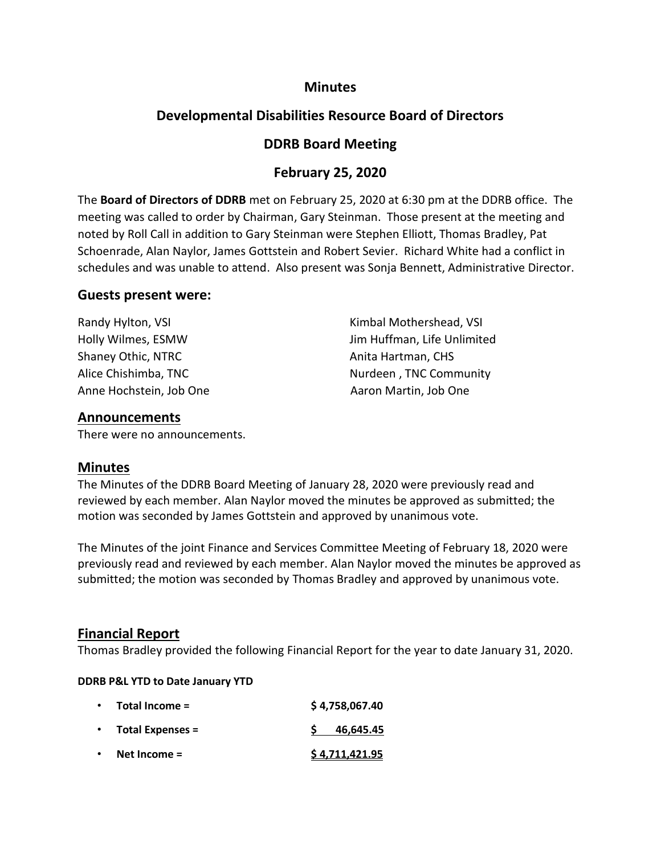### **Minutes**

# **Developmental Disabilities Resource Board of Directors**

## **DDRB Board Meeting**

## **February 25, 2020**

The **Board of Directors of DDRB** met on February 25, 2020 at 6:30 pm at the DDRB office. The meeting was called to order by Chairman, Gary Steinman. Those present at the meeting and noted by Roll Call in addition to Gary Steinman were Stephen Elliott, Thomas Bradley, Pat Schoenrade, Alan Naylor, James Gottstein and Robert Sevier. Richard White had a conflict in schedules and was unable to attend. Also present was Sonja Bennett, Administrative Director.

#### **Guests present were:**

| Randy Hylton, VSI       | Kimbal Mothershead, VSI     |
|-------------------------|-----------------------------|
| Holly Wilmes, ESMW      | Jim Huffman, Life Unlimited |
| Shaney Othic, NTRC      | Anita Hartman, CHS          |
| Alice Chishimba, TNC    | Nurdeen, TNC Community      |
| Anne Hochstein, Job One | Aaron Martin, Job One       |

#### **Announcements**

There were no announcements.

### **Minutes**

The Minutes of the DDRB Board Meeting of January 28, 2020 were previously read and reviewed by each member. Alan Naylor moved the minutes be approved as submitted; the motion was seconded by James Gottstein and approved by unanimous vote.

The Minutes of the joint Finance and Services Committee Meeting of February 18, 2020 were previously read and reviewed by each member. Alan Naylor moved the minutes be approved as submitted; the motion was seconded by Thomas Bradley and approved by unanimous vote.

### **Financial Report**

Thomas Bradley provided the following Financial Report for the year to date January 31, 2020.

#### **DDRB P&L YTD to Date January YTD**

| $\bullet$ | Total Income =     | \$4,758,067.40 |
|-----------|--------------------|----------------|
|           | • Total Expenses = | 46,645.45      |
| $\bullet$ | Net Income $=$     | \$4,711,421.95 |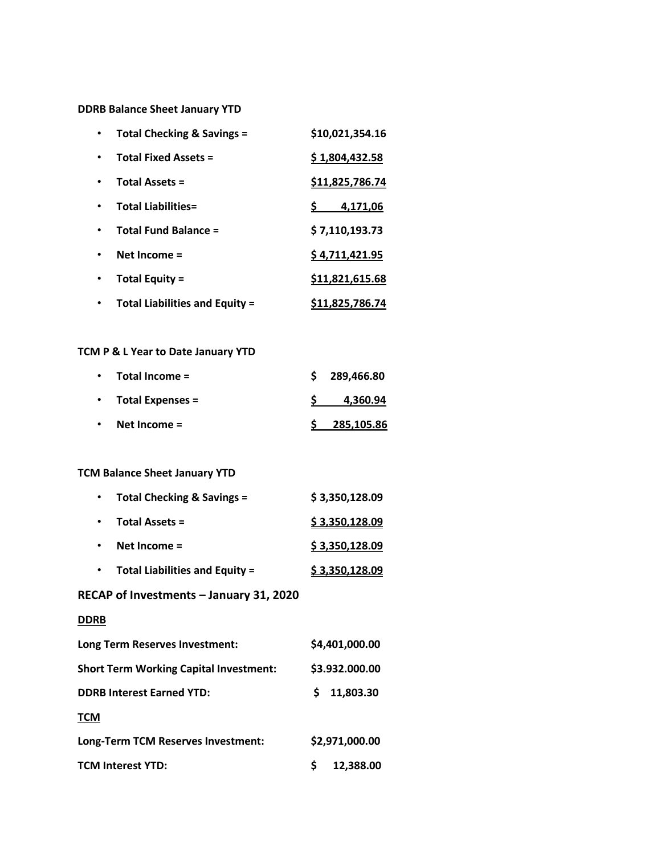**DDRB Balance Sheet January YTD**

| <b>Total Checking &amp; Savings =</b> | \$10,021,354.16        |
|---------------------------------------|------------------------|
| <b>Total Fixed Assets =</b>           | \$1,804,432.58         |
| <b>Total Assets =</b>                 | \$11,825,786.74        |
| <b>Total Liabilities=</b>             | S.<br>4,171,06         |
| <b>Total Fund Balance =</b>           | \$7,110,193.73         |
| Net Income $=$                        | \$4,711,421.95         |
| <b>Total Equity =</b>                 | \$11,821,615.68        |
| <b>Total Liabilities and Equity =</b> | <u>\$11,825,786.74</u> |

### **TCM P & L Year to Date January YTD**

|           | $\cdot$ Total Income = | \$289,466.80 |
|-----------|------------------------|--------------|
|           | • Total Expenses =     | 4,360.94     |
| $\bullet$ | Net Income $=$         | 285,105.86   |

#### **TCM Balance Sheet January YTD**

| Total Checking & Savings =            | \$3,350,128.09 |
|---------------------------------------|----------------|
| <b>Total Assets =</b>                 | \$3,350,128.09 |
| Net Income $=$                        | \$3,350,128.09 |
| <b>Total Liabilities and Equity =</b> | \$3,350,128.09 |

### **RECAP of Investments – January 31, 2020**

#### **DDRB**

| Long Term Reserves Investment:                | \$4,401,000.00  |
|-----------------------------------------------|-----------------|
| <b>Short Term Working Capital Investment:</b> | \$3.932.000.00  |
| <b>DDRB Interest Earned YTD:</b>              | 11,803.30<br>S. |
| TCM                                           |                 |
| Long-Term TCM Reserves Investment:            | \$2,971,000.00  |
| <b>TCM Interest YTD:</b>                      | 12,388.00       |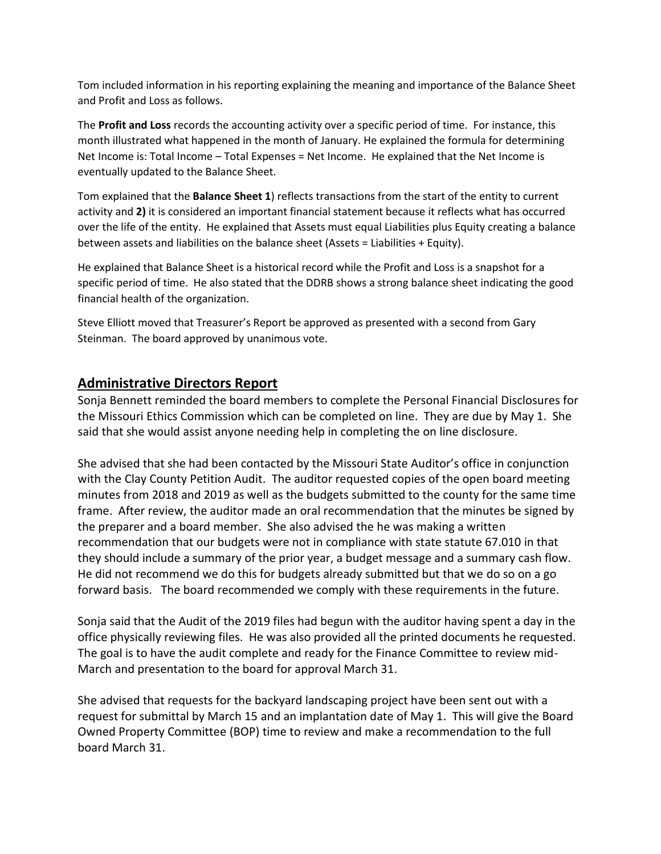Tom included information in his reporting explaining the meaning and importance of the Balance Sheet and Profit and Loss as follows.

The **Profit and Loss** records the accounting activity over a specific period of time. For instance, this month illustrated what happened in the month of January. He explained the formula for determining Net Income is: Total Income – Total Expenses = Net Income. He explained that the Net Income is eventually updated to the Balance Sheet.

Tom explained that the **Balance Sheet 1**) reflects transactions from the start of the entity to current activity and **2)** it is considered an important financial statement because it reflects what has occurred over the life of the entity. He explained that Assets must equal Liabilities plus Equity creating a balance between assets and liabilities on the balance sheet (Assets = Liabilities + Equity).

He explained that Balance Sheet is a historical record while the Profit and Loss is a snapshot for a specific period of time. He also stated that the DDRB shows a strong balance sheet indicating the good financial health of the organization.

Steve Elliott moved that Treasurer's Report be approved as presented with a second from Gary Steinman. The board approved by unanimous vote.

### **Administrative Directors Report**

Sonja Bennett reminded the board members to complete the Personal Financial Disclosures for the Missouri Ethics Commission which can be completed on line. They are due by May 1. She said that she would assist anyone needing help in completing the on line disclosure.

She advised that she had been contacted by the Missouri State Auditor's office in conjunction with the Clay County Petition Audit. The auditor requested copies of the open board meeting minutes from 2018 and 2019 as well as the budgets submitted to the county for the same time frame. After review, the auditor made an oral recommendation that the minutes be signed by the preparer and a board member. She also advised the he was making a written recommendation that our budgets were not in compliance with state statute 67.010 in that they should include a summary of the prior year, a budget message and a summary cash flow. He did not recommend we do this for budgets already submitted but that we do so on a go forward basis. The board recommended we comply with these requirements in the future.

Sonja said that the Audit of the 2019 files had begun with the auditor having spent a day in the office physically reviewing files. He was also provided all the printed documents he requested. The goal is to have the audit complete and ready for the Finance Committee to review mid-March and presentation to the board for approval March 31.

She advised that requests for the backyard landscaping project have been sent out with a request for submittal by March 15 and an implantation date of May 1. This will give the Board Owned Property Committee (BOP) time to review and make a recommendation to the full board March 31.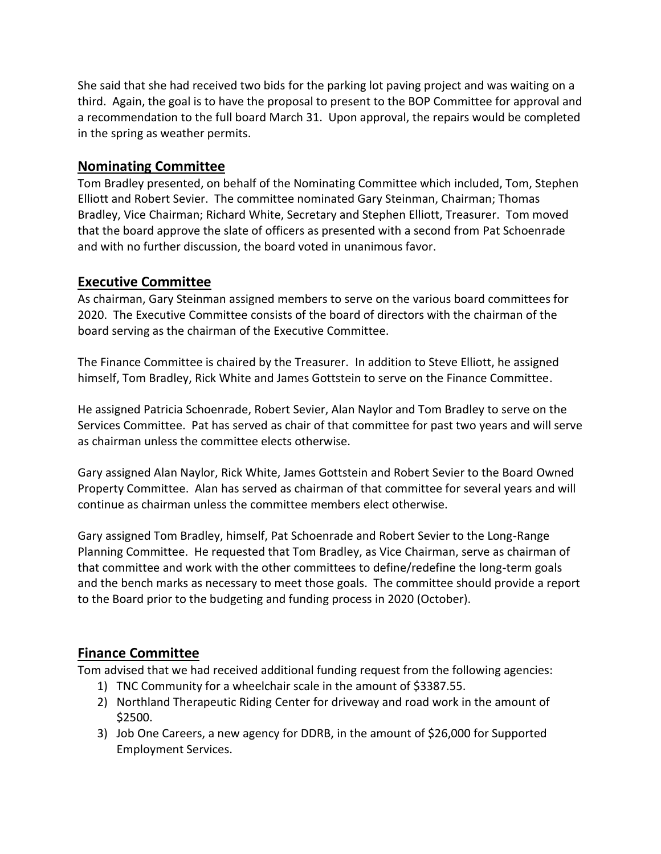She said that she had received two bids for the parking lot paving project and was waiting on a third. Again, the goal is to have the proposal to present to the BOP Committee for approval and a recommendation to the full board March 31. Upon approval, the repairs would be completed in the spring as weather permits.

## **Nominating Committee**

Tom Bradley presented, on behalf of the Nominating Committee which included, Tom, Stephen Elliott and Robert Sevier. The committee nominated Gary Steinman, Chairman; Thomas Bradley, Vice Chairman; Richard White, Secretary and Stephen Elliott, Treasurer. Tom moved that the board approve the slate of officers as presented with a second from Pat Schoenrade and with no further discussion, the board voted in unanimous favor.

## **Executive Committee**

As chairman, Gary Steinman assigned members to serve on the various board committees for 2020. The Executive Committee consists of the board of directors with the chairman of the board serving as the chairman of the Executive Committee.

The Finance Committee is chaired by the Treasurer. In addition to Steve Elliott, he assigned himself, Tom Bradley, Rick White and James Gottstein to serve on the Finance Committee.

He assigned Patricia Schoenrade, Robert Sevier, Alan Naylor and Tom Bradley to serve on the Services Committee. Pat has served as chair of that committee for past two years and will serve as chairman unless the committee elects otherwise.

Gary assigned Alan Naylor, Rick White, James Gottstein and Robert Sevier to the Board Owned Property Committee. Alan has served as chairman of that committee for several years and will continue as chairman unless the committee members elect otherwise.

Gary assigned Tom Bradley, himself, Pat Schoenrade and Robert Sevier to the Long-Range Planning Committee. He requested that Tom Bradley, as Vice Chairman, serve as chairman of that committee and work with the other committees to define/redefine the long-term goals and the bench marks as necessary to meet those goals. The committee should provide a report to the Board prior to the budgeting and funding process in 2020 (October).

# **Finance Committee**

Tom advised that we had received additional funding request from the following agencies:

- 1) TNC Community for a wheelchair scale in the amount of \$3387.55.
- 2) Northland Therapeutic Riding Center for driveway and road work in the amount of \$2500.
- 3) Job One Careers, a new agency for DDRB, in the amount of \$26,000 for Supported Employment Services.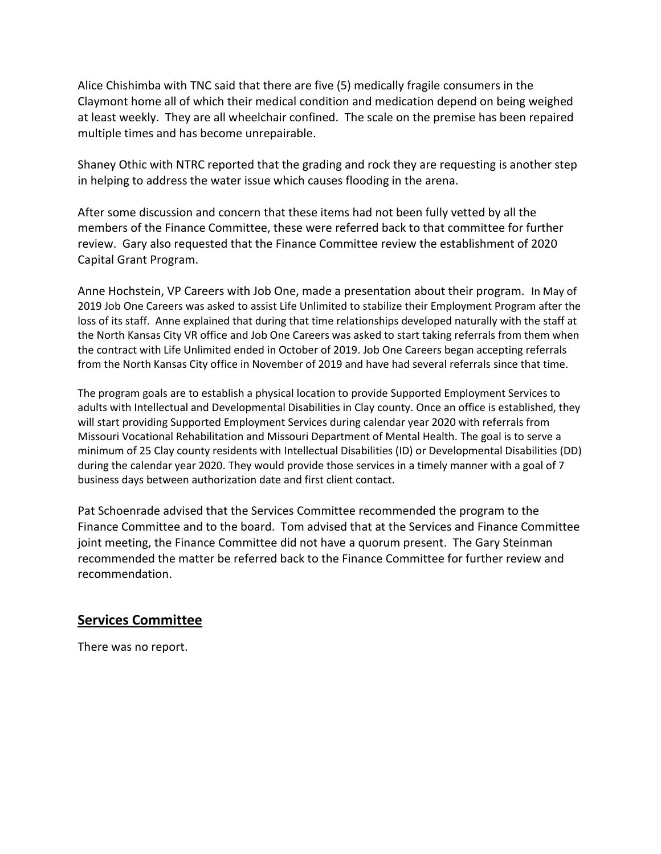Alice Chishimba with TNC said that there are five (5) medically fragile consumers in the Claymont home all of which their medical condition and medication depend on being weighed at least weekly. They are all wheelchair confined. The scale on the premise has been repaired multiple times and has become unrepairable.

Shaney Othic with NTRC reported that the grading and rock they are requesting is another step in helping to address the water issue which causes flooding in the arena.

After some discussion and concern that these items had not been fully vetted by all the members of the Finance Committee, these were referred back to that committee for further review. Gary also requested that the Finance Committee review the establishment of 2020 Capital Grant Program.

Anne Hochstein, VP Careers with Job One, made a presentation about their program. In May of 2019 Job One Careers was asked to assist Life Unlimited to stabilize their Employment Program after the loss of its staff. Anne explained that during that time relationships developed naturally with the staff at the North Kansas City VR office and Job One Careers was asked to start taking referrals from them when the contract with Life Unlimited ended in October of 2019. Job One Careers began accepting referrals from the North Kansas City office in November of 2019 and have had several referrals since that time.

The program goals are to establish a physical location to provide Supported Employment Services to adults with Intellectual and Developmental Disabilities in Clay county. Once an office is established, they will start providing Supported Employment Services during calendar year 2020 with referrals from Missouri Vocational Rehabilitation and Missouri Department of Mental Health. The goal is to serve a minimum of 25 Clay county residents with Intellectual Disabilities (ID) or Developmental Disabilities (DD) during the calendar year 2020. They would provide those services in a timely manner with a goal of 7 business days between authorization date and first client contact.

Pat Schoenrade advised that the Services Committee recommended the program to the Finance Committee and to the board. Tom advised that at the Services and Finance Committee joint meeting, the Finance Committee did not have a quorum present. The Gary Steinman recommended the matter be referred back to the Finance Committee for further review and recommendation.

### **Services Committee**

There was no report.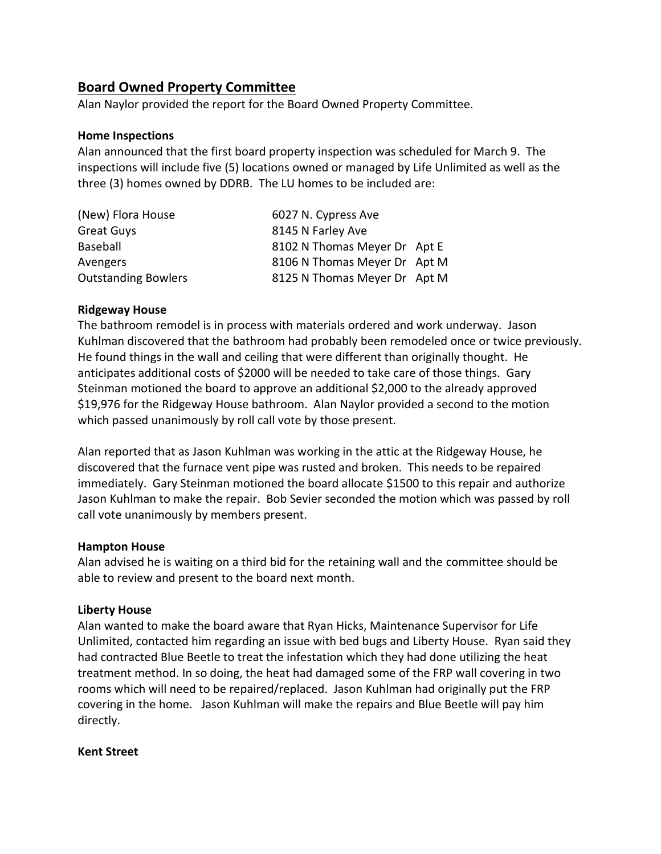## **Board Owned Property Committee**

Alan Naylor provided the report for the Board Owned Property Committee.

#### **Home Inspections**

Alan announced that the first board property inspection was scheduled for March 9. The inspections will include five (5) locations owned or managed by Life Unlimited as well as the three (3) homes owned by DDRB. The LU homes to be included are:

| (New) Flora House          | 6027 N. Cypress Ave          |  |
|----------------------------|------------------------------|--|
| <b>Great Guys</b>          | 8145 N Farley Ave            |  |
| Baseball                   | 8102 N Thomas Meyer Dr Apt E |  |
| Avengers                   | 8106 N Thomas Meyer Dr Apt M |  |
| <b>Outstanding Bowlers</b> | 8125 N Thomas Meyer Dr Apt M |  |

#### **Ridgeway House**

The bathroom remodel is in process with materials ordered and work underway. Jason Kuhlman discovered that the bathroom had probably been remodeled once or twice previously. He found things in the wall and ceiling that were different than originally thought. He anticipates additional costs of \$2000 will be needed to take care of those things. Gary Steinman motioned the board to approve an additional \$2,000 to the already approved \$19,976 for the Ridgeway House bathroom. Alan Naylor provided a second to the motion which passed unanimously by roll call vote by those present.

Alan reported that as Jason Kuhlman was working in the attic at the Ridgeway House, he discovered that the furnace vent pipe was rusted and broken. This needs to be repaired immediately. Gary Steinman motioned the board allocate \$1500 to this repair and authorize Jason Kuhlman to make the repair. Bob Sevier seconded the motion which was passed by roll call vote unanimously by members present.

#### **Hampton House**

Alan advised he is waiting on a third bid for the retaining wall and the committee should be able to review and present to the board next month.

#### **Liberty House**

Alan wanted to make the board aware that Ryan Hicks, Maintenance Supervisor for Life Unlimited, contacted him regarding an issue with bed bugs and Liberty House. Ryan said they had contracted Blue Beetle to treat the infestation which they had done utilizing the heat treatment method. In so doing, the heat had damaged some of the FRP wall covering in two rooms which will need to be repaired/replaced. Jason Kuhlman had originally put the FRP covering in the home. Jason Kuhlman will make the repairs and Blue Beetle will pay him directly.

#### **Kent Street**